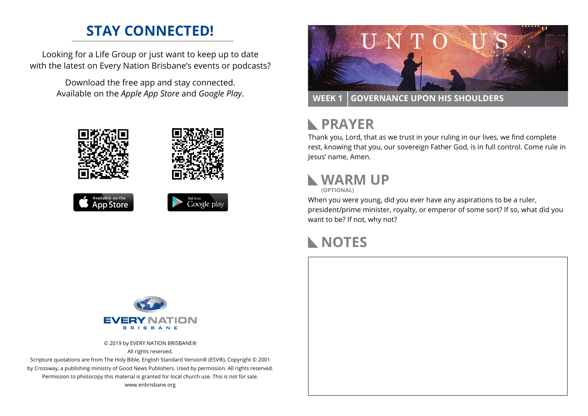#### **STAY CONNECTED!**

Looking for a Life Group or just want to keep up to date with the latest on Every Nation Brisbane's events or podcasts?

> Download the free app and stay connected. Available on the *Apple App Store* and *Google Play*.











**WEEK 1 GOVERNANCE UPON HIS SHOULDERS**

# **RAYER**

Thank you, Lord, that as we trust in your ruling in our lives, we find complete rest, knowing that you, our sovereign Father God, is in full control. Come rule in Jesus' name, Amen.

# **WARM UP**

**(OPTIONAL)**

When you were young, did you ever have any aspirations to be a ruler, president/prime minister, royalty, or emperor of some sort? If so, what did you want to be? If not, why not?

## **NOTES**



© 2019 by EVERY NATION BRISBANE® All rights reserved.

Scripture quotations are from The Holy Bible, English Standard Version® (ESV®), Copyright © 2001 by Crossway, a publishing ministry of Good News Publishers. Used by permission. All rights reserved. Permission to photocopy this material is granted for local church use. This is not for sale. www.enbrisbane.org